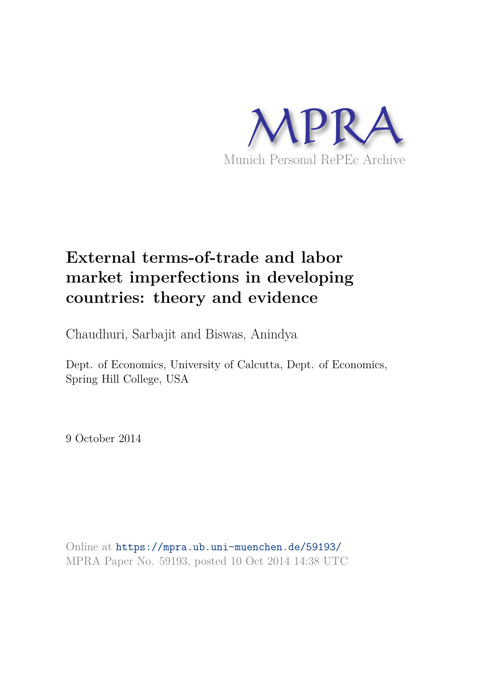

# **External terms-of-trade and labor market imperfections in developing countries: theory and evidence**

Chaudhuri, Sarbajit and Biswas, Anindya

Dept. of Economics, University of Calcutta, Dept. of Economics, Spring Hill College, USA

9 October 2014

Online at https://mpra.ub.uni-muenchen.de/59193/ MPRA Paper No. 59193, posted 10 Oct 2014 14:38 UTC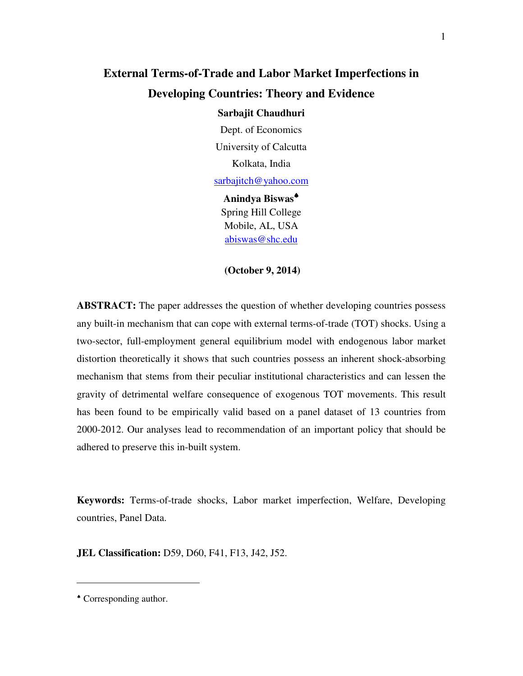# **External Terms-of-Trade and Labor Market Imperfections in Developing Countries: Theory and Evidence**

#### **Sarbajit Chaudhuri**

Dept. of Economics University of Calcutta Kolkata, India

sarbajitch@yahoo.com

**Anindya Biswas**♠ Spring Hill College Mobile, AL, USA abiswas@shc.edu

#### **(October 9, 2014)**

**ABSTRACT:** The paper addresses the question of whether developing countries possess any built-in mechanism that can cope with external terms-of-trade (TOT) shocks. Using a two-sector, full-employment general equilibrium model with endogenous labor market distortion theoretically it shows that such countries possess an inherent shock-absorbing mechanism that stems from their peculiar institutional characteristics and can lessen the gravity of detrimental welfare consequence of exogenous TOT movements. This result has been found to be empirically valid based on a panel dataset of 13 countries from 2000-2012. Our analyses lead to recommendation of an important policy that should be adhered to preserve this in-built system.

**Keywords:** Terms-of-trade shocks, Labor market imperfection, Welfare, Developing countries, Panel Data.

**JEL Classification:** D59, D60, F41, F13, J42, J52.

-

<sup>♠</sup> Corresponding author.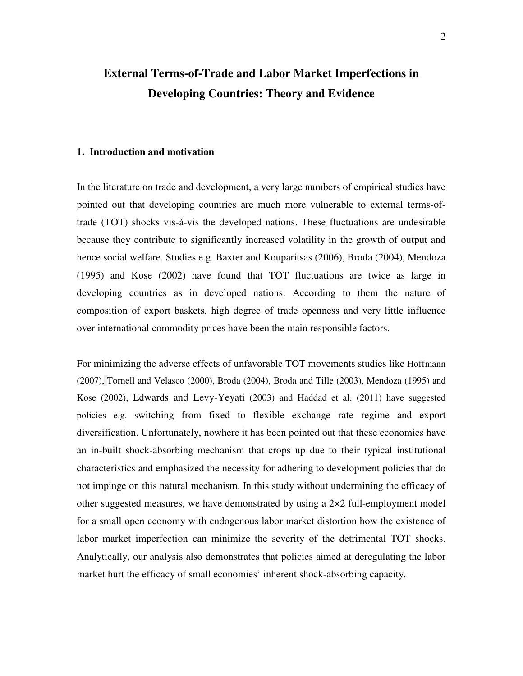# **External Terms-of-Trade and Labor Market Imperfections in Developing Countries: Theory and Evidence**

#### **1. Introduction and motivation**

In the literature on trade and development, a very large numbers of empirical studies have pointed out that developing countries are much more vulnerable to external terms-oftrade (TOT) shocks vis-à-vis the developed nations. These fluctuations are undesirable because they contribute to significantly increased volatility in the growth of output and hence social welfare. Studies e.g. Baxter and Kouparitsas (2006), Broda (2004), Mendoza (1995) and Kose (2002) have found that TOT fluctuations are twice as large in developing countries as in developed nations. According to them the nature of composition of export baskets, high degree of trade openness and very little influence over international commodity prices have been the main responsible factors.

For minimizing the adverse effects of unfavorable TOT movements studies like Hoffmann (2007), Tornell and Velasco (2000), Broda (2004), Broda and Tille (2003), Mendoza (1995) and Kose (2002), Edwards and Levy-Yeyati (2003) and Haddad et al. (2011) have suggested policies e.g. switching from fixed to flexible exchange rate regime and export diversification. Unfortunately, nowhere it has been pointed out that these economies have an in-built shock-absorbing mechanism that crops up due to their typical institutional characteristics and emphasized the necessity for adhering to development policies that do not impinge on this natural mechanism. In this study without undermining the efficacy of other suggested measures, we have demonstrated by using a  $2\times 2$  full-employment model for a small open economy with endogenous labor market distortion how the existence of labor market imperfection can minimize the severity of the detrimental TOT shocks. Analytically, our analysis also demonstrates that policies aimed at deregulating the labor market hurt the efficacy of small economies' inherent shock-absorbing capacity.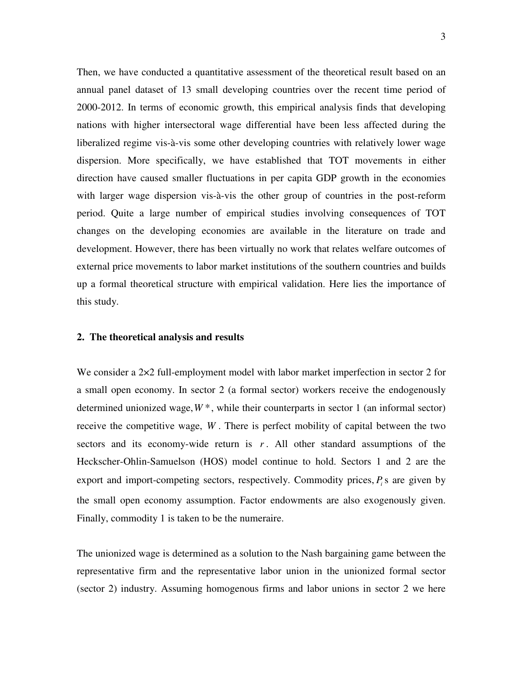Then, we have conducted a quantitative assessment of the theoretical result based on an annual panel dataset of 13 small developing countries over the recent time period of 2000-2012. In terms of economic growth, this empirical analysis finds that developing nations with higher intersectoral wage differential have been less affected during the liberalized regime vis-à-vis some other developing countries with relatively lower wage dispersion. More specifically, we have established that TOT movements in either direction have caused smaller fluctuations in per capita GDP growth in the economies with larger wage dispersion vis-à-vis the other group of countries in the post-reform period. Quite a large number of empirical studies involving consequences of TOT changes on the developing economies are available in the literature on trade and development. However, there has been virtually no work that relates welfare outcomes of external price movements to labor market institutions of the southern countries and builds up a formal theoretical structure with empirical validation. Here lies the importance of this study.

#### **2. The theoretical analysis and results**

We consider a 2×2 full-employment model with labor market imperfection in sector 2 for a small open economy. In sector 2 (a formal sector) workers receive the endogenously determined unionized wage,  $W^*$ , while their counterparts in sector 1 (an informal sector) receive the competitive wage, *W* . There is perfect mobility of capital between the two sectors and its economy-wide return is  $r$ . All other standard assumptions of the Heckscher-Ohlin-Samuelson (HOS) model continue to hold. Sectors 1 and 2 are the export and import-competing sectors, respectively. Commodity prices,  $P_i$  s are given by the small open economy assumption. Factor endowments are also exogenously given. Finally, commodity 1 is taken to be the numeraire.

The unionized wage is determined as a solution to the Nash bargaining game between the representative firm and the representative labor union in the unionized formal sector (sector 2) industry. Assuming homogenous firms and labor unions in sector 2 we here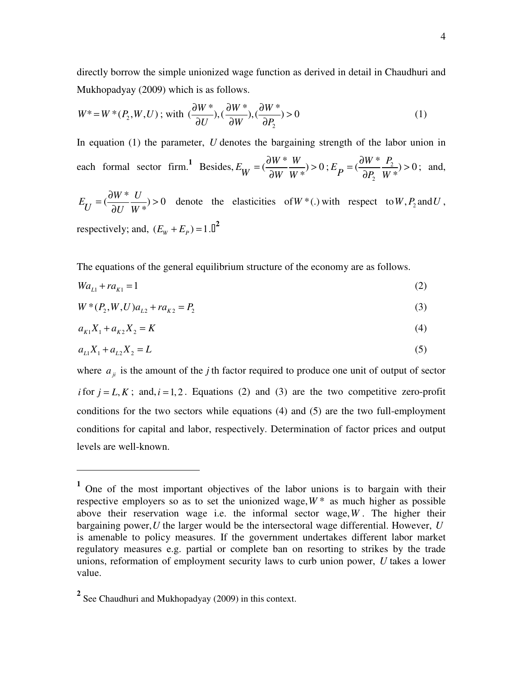directly borrow the simple unionized wage function as derived in detail in Chaudhuri and Mukhopadyay (2009) which is as follows.

$$
W^* = W^*(P_2, W, U); \text{ with } (\frac{\partial W^*}{\partial U}), (\frac{\partial W^*}{\partial W}), (\frac{\partial W^*}{\partial P_2}) > 0
$$
 (1)

In equation (1) the parameter, *U* denotes the bargaining strength of the labor union in each formal sector firm.<sup>1</sup> Besides,  $E_W = (\frac{\partial W^*}{\partial W^*} \frac{W}{W}) > 0$  $E_W = (\frac{\partial W^*}{\partial W} \frac{W}{W^*}) >$ ∂  $E_{\bf{p}} = (\frac{W}{2R} - \frac{I_2}{W})$ 2  $\left(\frac{\partial W^*}{\partial P}, \frac{P_2}{\partial W^*}\right) > 0$ \*  $E_P = (\frac{\partial W \ast P_2}{\partial P_2 W})$  $=\left(\frac{\partial W^*}{\partial P} \frac{P_2}{W} \right)$ ∂ ; and,

 $\left(\frac{\partial W^*}{\partial w^*} \frac{U}{\partial w^*}\right) > 0$ \*  $E_{\overline{U}} = \left(\frac{\partial W^*}{\partial U}\right)^{U}$  $U$ <sup>-</sup>  $\partial U$  W  $=\left(\frac{\partial W^*}{\partial W^*}\frac{U}{W^*}\right)$  $\frac{\partial W}{\partial U}$   $\frac{\partial W}{\partial V}$  > 0 denote the elasticities of *W* \*(.) with respect to *W*, *P*<sub>2</sub> and *U*, respectively; and,  $(E_w + E_p) = 1.0^2$ 

The equations of the general equilibrium structure of the economy are as follows.

$$
Wa_{L1} + ra_{K1} = 1\tag{2}
$$

$$
W^*(P_2, W, U)a_{L2} + ra_{K2} = P_2
$$
\n(3)

$$
a_{K1}X_1 + a_{K2}X_2 = K \tag{4}
$$

$$
a_{L1}X_1 + a_{L2}X_2 = L \tag{5}
$$

where  $a_{ji}$  is the amount of the *j* th factor required to produce one unit of output of sector *i* for  $j = L, K$ ; and,  $i = 1, 2$ . Equations (2) and (3) are the two competitive zero-profit conditions for the two sectors while equations (4) and (5) are the two full-employment conditions for capital and labor, respectively. Determination of factor prices and output levels are well-known.

 $\overline{a}$ 

**<sup>1</sup>** One of the most important objectives of the labor unions is to bargain with their respective employers so as to set the unionized wage,  $W^*$  as much higher as possible above their reservation wage i.e. the informal sector wage,*W* . The higher their bargaining power,*U* the larger would be the intersectoral wage differential. However, *U* is amenable to policy measures. If the government undertakes different labor market regulatory measures e.g. partial or complete ban on resorting to strikes by the trade unions, reformation of employment security laws to curb union power, *U* takes a lower value.

**<sup>2</sup>** See Chaudhuri and Mukhopadyay (2009) in this context.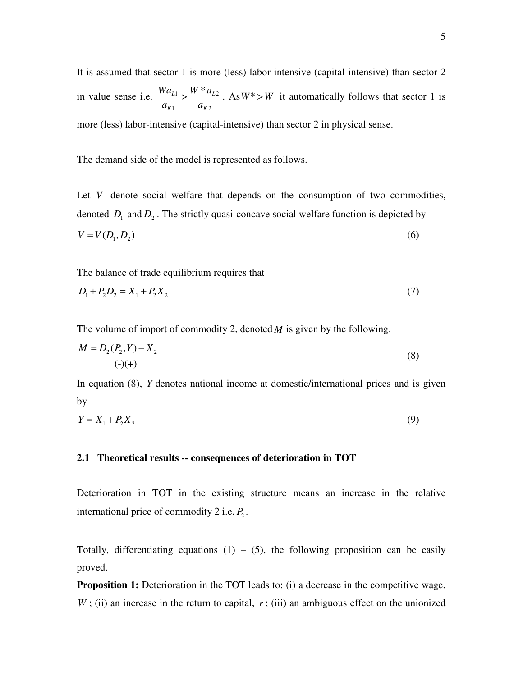It is assumed that sector 1 is more (less) labor-intensive (capital-intensive) than sector 2 in value sense i.e.  $\frac{m u_{L1}}{2} > \frac{m u_{L2}}{2}$ 1  $u_{K2}$  $\frac{L_1}{L_1}$   $\sim$   $\frac{W^* a_L}{L}$  $K1$   $u_K$  $Wa_{L1}$   $W^*a$  $a_{K1}$  *a*  $> \frac{W - u_{L2}}{W}$ . As  $W^* > W$  it automatically follows that sector 1 is more (less) labor-intensive (capital-intensive) than sector 2 in physical sense.

The demand side of the model is represented as follows.

Let *V* denote social welfare that depends on the consumption of two commodities, denoted  $D_1$  and  $D_2$ . The strictly quasi-concave social welfare function is depicted by  $V = V(D_1, D_2)$  (6)

The balance of trade equilibrium requires that

$$
D_1 + P_2 D_2 = X_1 + P_2 X_2 \tag{7}
$$

The volume of import of commodity 2, denoted *M* is given by the following.

$$
M = D_2(P_2, Y) - X_2
$$
  
(-)(+) (8)

In equation (8), *Y* denotes national income at domestic/international prices and is given by

$$
Y = X_1 + P_2 X_2 \tag{9}
$$

#### **2.1 Theoretical results -- consequences of deterioration in TOT**

Deterioration in TOT in the existing structure means an increase in the relative international price of commodity 2 i.e.  $P_2$ .

Totally, differentiating equations  $(1) - (5)$ , the following proposition can be easily proved.

**Proposition 1:** Deterioration in the TOT leads to: (i) a decrease in the competitive wage,  $W$ ; (ii) an increase in the return to capital,  $r$ ; (iii) an ambiguous effect on the unionized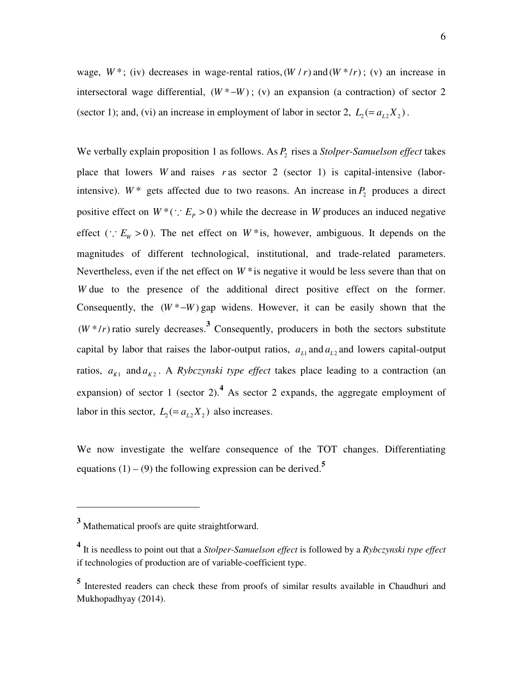wage,  $W^*$ ; (iv) decreases in wage-rental ratios,  $(W/r)$  and  $(W^*/r)$ ; (v) an increase in intersectoral wage differential,  $(W^* - W)$ ; (v) an expansion (a contraction) of sector 2 (sector 1); and, (vi) an increase in employment of labor in sector 2,  $L_2 = a_{L2}X_2$ ).

We verbally explain proposition 1 as follows. As  $P_2$  rises a *Stolper-Samuelson effect* takes place that lowers *W* and raises *r* as sector 2 (sector 1) is capital-intensive (laborintensive).  $W^*$  gets affected due to two reasons. An increase in  $P_2$  produces a direct positive effect on  $W^*$  (:  $E_p > 0$ ) while the decrease in *W* produces an induced negative effect (∴  $E_W > 0$ ). The net effect on  $W^*$  is, however, ambiguous. It depends on the magnitudes of different technological, institutional, and trade-related parameters. Nevertheless, even if the net effect on  $W^*$  is negative it would be less severe than that on *W* due to the presence of the additional direct positive effect on the former. Consequently, the  $(W^* - W)$  gap widens. However, it can be easily shown that the  $(W^*/r)$  ratio surely decreases.<sup>3</sup> Consequently, producers in both the sectors substitute capital by labor that raises the labor-output ratios,  $a_{L1}$  and  $a_{L2}$  and lowers capital-output ratios,  $a_{K1}$  and  $a_{K2}$ . A *Rybczynski type effect* takes place leading to a contraction (an expansion) of sector 1 (sector 2).<sup>4</sup> As sector 2 expands, the aggregate employment of labor in this sector,  $L_2 = a_{L2} X_2$  also increases.

We now investigate the welfare consequence of the TOT changes. Differentiating equations  $(1) - (9)$  the following expression can be derived.<sup>5</sup>

-

**<sup>3</sup>** Mathematical proofs are quite straightforward.

**<sup>4</sup>** It is needless to point out that a *Stolper-Samuelson effect* is followed by a *Rybczynski type effect* if technologies of production are of variable-coefficient type.

**<sup>5</sup>** Interested readers can check these from proofs of similar results available in Chaudhuri and Mukhopadhyay (2014).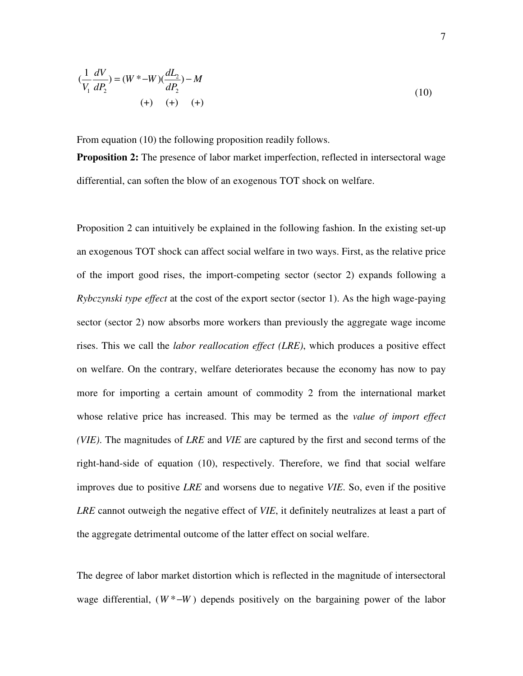$$
(\frac{1}{V_1}\frac{dV}{dP_2}) = (W^* - W)(\frac{dL_2}{dP_2}) - M
$$
  
(+) (+) (+) (+)

From equation (10) the following proposition readily follows.

**Proposition 2:** The presence of labor market imperfection, reflected in intersectoral wage differential, can soften the blow of an exogenous TOT shock on welfare.

Proposition 2 can intuitively be explained in the following fashion. In the existing set-up an exogenous TOT shock can affect social welfare in two ways. First, as the relative price of the import good rises, the import-competing sector (sector 2) expands following a *Rybczynski type effect* at the cost of the export sector (sector 1). As the high wage-paying sector (sector 2) now absorbs more workers than previously the aggregate wage income rises. This we call the *labor reallocation effect (LRE)*, which produces a positive effect on welfare. On the contrary, welfare deteriorates because the economy has now to pay more for importing a certain amount of commodity 2 from the international market whose relative price has increased. This may be termed as the *value of import effect (VIE)*. The magnitudes of *LRE* and *VIE* are captured by the first and second terms of the right-hand-side of equation (10), respectively. Therefore, we find that social welfare improves due to positive *LRE* and worsens due to negative *VIE*. So, even if the positive *LRE* cannot outweigh the negative effect of *VIE*, it definitely neutralizes at least a part of the aggregate detrimental outcome of the latter effect on social welfare.

The degree of labor market distortion which is reflected in the magnitude of intersectoral wage differential,  $(W^*$ <sup>-</sup> $W$ ) depends positively on the bargaining power of the labor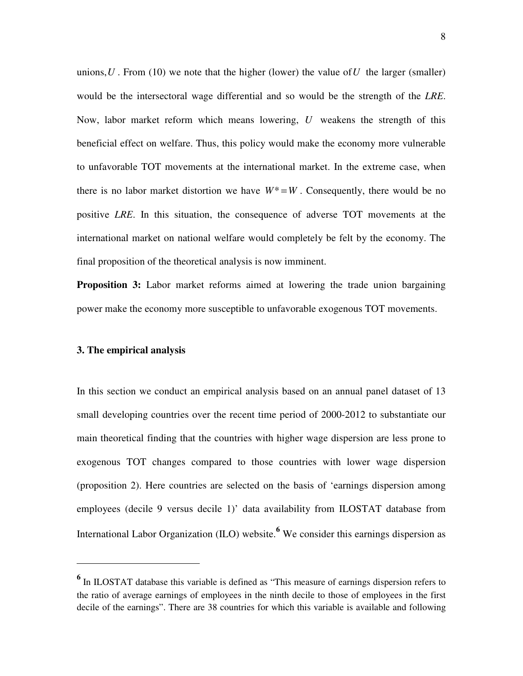unions,  $U$ . From (10) we note that the higher (lower) the value of  $U$  the larger (smaller) would be the intersectoral wage differential and so would be the strength of the *LRE*. Now, labor market reform which means lowering, *U* weakens the strength of this beneficial effect on welfare. Thus, this policy would make the economy more vulnerable to unfavorable TOT movements at the international market. In the extreme case, when there is no labor market distortion we have  $W^* = W$ . Consequently, there would be no positive *LRE*. In this situation, the consequence of adverse TOT movements at the international market on national welfare would completely be felt by the economy. The final proposition of the theoretical analysis is now imminent.

**Proposition 3:** Labor market reforms aimed at lowering the trade union bargaining power make the economy more susceptible to unfavorable exogenous TOT movements.

#### **3. The empirical analysis**

-

In this section we conduct an empirical analysis based on an annual panel dataset of 13 small developing countries over the recent time period of 2000-2012 to substantiate our main theoretical finding that the countries with higher wage dispersion are less prone to exogenous TOT changes compared to those countries with lower wage dispersion (proposition 2). Here countries are selected on the basis of 'earnings dispersion among employees (decile 9 versus decile 1)' data availability from ILOSTAT database from International Labor Organization (ILO) website.**<sup>6</sup>** We consider this earnings dispersion as

<sup>&</sup>lt;sup>6</sup> In ILOSTAT database this variable is defined as "This measure of earnings dispersion refers to the ratio of average earnings of employees in the ninth decile to those of employees in the first decile of the earnings". There are 38 countries for which this variable is available and following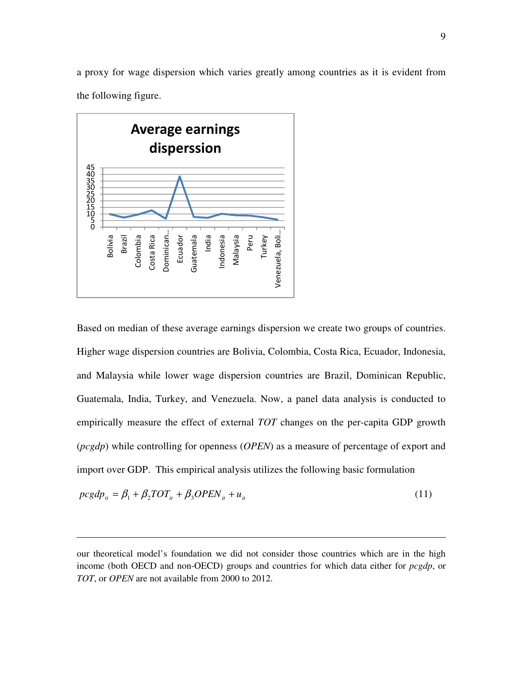a proxy for wage dispersion which varies greatly among countries as it is evident from the following figure.



 $\overline{a}$ 

Based on median of these average earnings dispersion we create two groups of countries. Higher wage dispersion countries are Bolivia, Colombia, Costa Rica, Ecuador, Indonesia, and Malaysia while lower wage dispersion countries are Brazil, Dominican Republic, Guatemala, India, Turkey, and Venezuela. Now, a panel data analysis is conducted to empirically measure the effect of external *TOT* changes on the per-capita GDP growth (*pcgdp*) while controlling for openness (*OPEN*) as a measure of percentage of export and import over GDP. This empirical analysis utilizes the following basic formulation

$$
pcgdp_{ii} = \beta_1 + \beta_2 TOT_{ii} + \beta_3 OPEN_{ii} + u_{ii}
$$
\n
$$
(11)
$$

our theoretical model's foundation we did not consider those countries which are in the high income (both OECD and non-OECD) groups and countries for which data either for *pcgdp*, or *TOT*, or *OPEN* are not available from 2000 to 2012.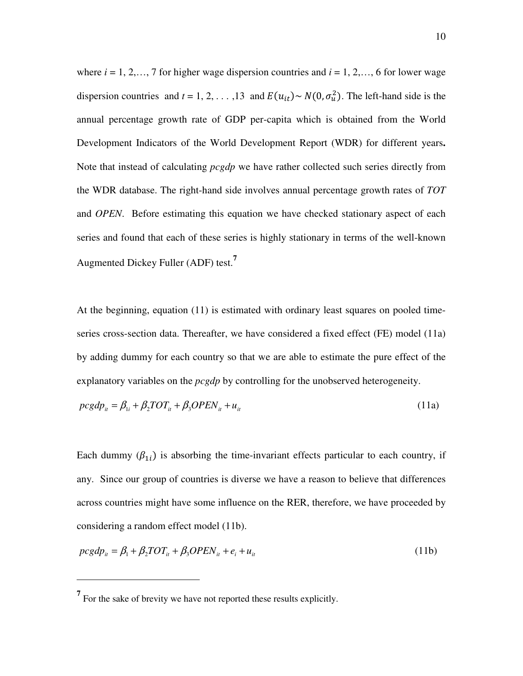where  $i = 1, 2, \ldots, 7$  for higher wage dispersion countries and  $i = 1, 2, \ldots, 6$  for lower wage dispersion countries and  $t = 1, 2, ..., 13$  and  $E(u_{it}) \sim N(0, \sigma_u^2)$ . The left-hand side is the annual percentage growth rate of GDP per-capita which is obtained from the World Development Indicators of the World Development Report (WDR) for different years**.**  Note that instead of calculating *pcgdp* we have rather collected such series directly from the WDR database. The right-hand side involves annual percentage growth rates of *TOT* and *OPEN*. Before estimating this equation we have checked stationary aspect of each series and found that each of these series is highly stationary in terms of the well-known Augmented Dickey Fuller (ADF) test.**<sup>7</sup>**

At the beginning, equation (11) is estimated with ordinary least squares on pooled timeseries cross-section data. Thereafter, we have considered a fixed effect (FE) model (11a) by adding dummy for each country so that we are able to estimate the pure effect of the explanatory variables on the *pcgdp* by controlling for the unobserved heterogeneity.

$$
pcgdp_{ii} = \beta_{1i} + \beta_2 TOT_{it} + \beta_3 OPEN_{it} + u_{it}
$$
\n(11a)

Each dummy  $(\beta_{1i})$  is absorbing the time-invariant effects particular to each country, if any. Since our group of countries is diverse we have a reason to believe that differences across countries might have some influence on the RER, therefore, we have proceeded by considering a random effect model (11b).

$$
pcgdp_{ii} = \beta_1 + \beta_2 TOT_{ii} + \beta_3 OPEN_{ii} + e_i + u_{ii}
$$
\n(11b)

<u>.</u>

<sup>&</sup>lt;sup>7</sup> For the sake of brevity we have not reported these results explicitly.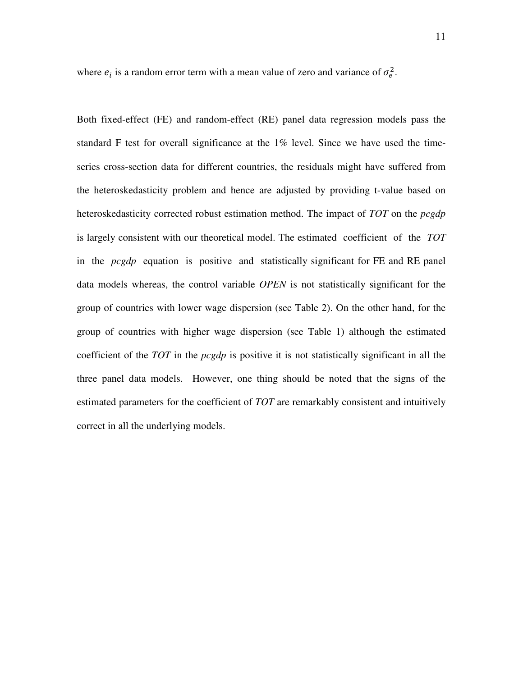where  $e_i$  is a random error term with a mean value of zero and variance of  $\sigma_e^2$ .

Both fixed-effect (FE) and random-effect (RE) panel data regression models pass the standard F test for overall significance at the 1% level. Since we have used the timeseries cross-section data for different countries, the residuals might have suffered from the heteroskedasticity problem and hence are adjusted by providing t-value based on heteroskedasticity corrected robust estimation method. The impact of *TOT* on the *pcgdp* is largely consistent with our theoretical model. The estimated coefficient of the *TOT* in the *pcgdp* equation is positive and statistically significant for FE and RE panel data models whereas, the control variable *OPEN* is not statistically significant for the group of countries with lower wage dispersion (see Table 2). On the other hand, for the group of countries with higher wage dispersion (see Table 1) although the estimated coefficient of the *TOT* in the *pcgdp* is positive it is not statistically significant in all the three panel data models. However, one thing should be noted that the signs of the estimated parameters for the coefficient of *TOT* are remarkably consistent and intuitively correct in all the underlying models.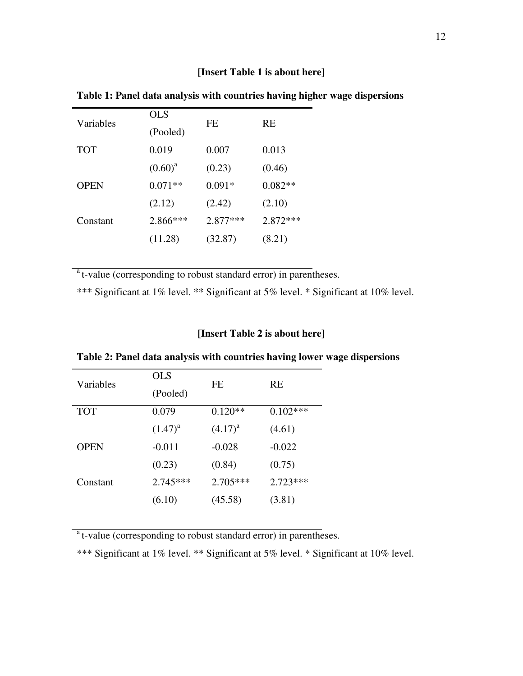## **[Insert Table 1 is about here]**

| Variables   | <b>OLS</b>   | FE         | <b>RE</b>  |
|-------------|--------------|------------|------------|
|             | (Pooled)     |            |            |
| <b>TOT</b>  | 0.019        | 0.007      | 0.013      |
|             | $(0.60)^{a}$ | (0.23)     | (0.46)     |
| <b>OPEN</b> | $0.071**$    | $0.091*$   | $0.082**$  |
|             | (2.12)       | (2.42)     | (2.10)     |
| Constant    | 2.866***     | $2.877***$ | $2.872***$ |
|             | (11.28)      | (32.87)    | (8.21)     |

**Table 1: Panel data analysis with countries having higher wage dispersions** 

<sup>a</sup>t-value (corresponding to robust standard error) in parentheses.

\*\*\* Significant at 1% level. \*\* Significant at 5% level. \* Significant at 10% level.

### **[Insert Table 2 is about here]**

| Variables   | OLS          | FE           | RE         |
|-------------|--------------|--------------|------------|
|             | (Pooled)     |              |            |
| <b>TOT</b>  | 0.079        | $0.120**$    | $0.102***$ |
|             | $(1.47)^{a}$ | $(4.17)^{a}$ | (4.61)     |
| <b>OPEN</b> | $-0.011$     | $-0.028$     | $-0.022$   |
|             | (0.23)       | (0.84)       | (0.75)     |
| Constant    | $2.745***$   | $2.705***$   | $2.723***$ |
|             | (6.10)       | (45.58)      | (3.81)     |

**Table 2: Panel data analysis with countries having lower wage dispersions** 

<sup>a</sup>t-value (corresponding to robust standard error) in parentheses.

\*\*\* Significant at 1% level. \*\* Significant at 5% level. \* Significant at 10% level.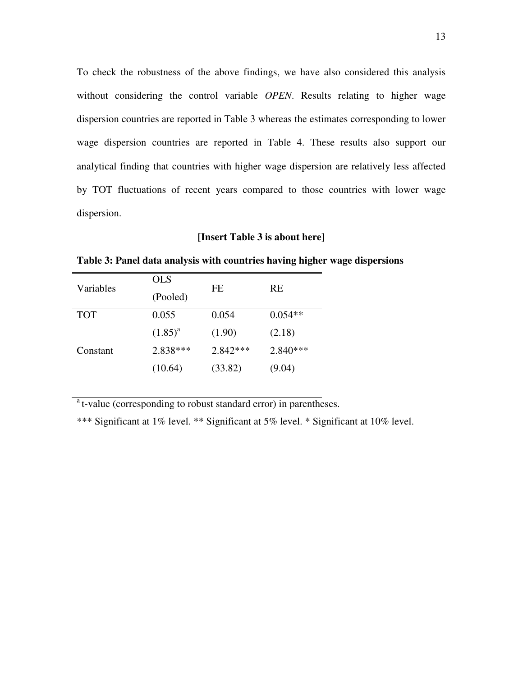To check the robustness of the above findings, we have also considered this analysis without considering the control variable *OPEN*. Results relating to higher wage dispersion countries are reported in Table 3 whereas the estimates corresponding to lower wage dispersion countries are reported in Table 4. These results also support our analytical finding that countries with higher wage dispersion are relatively less affected by TOT fluctuations of recent years compared to those countries with lower wage dispersion.

#### **[Insert Table 3 is about here]**

| Variables  | <b>OLS</b>   | FF.        | <b>RE</b>  |
|------------|--------------|------------|------------|
|            | (Pooled)     |            |            |
| <b>TOT</b> | 0.055        | 0.054      | $0.054**$  |
|            | $(1.85)^{a}$ | (1.90)     | (2.18)     |
| Constant   | 2.838***     | $2.842***$ | $2.840***$ |
|            | (10.64)      | (33.82)    | (9.04)     |

**Table 3: Panel data analysis with countries having higher wage dispersions** 

<sup>a</sup>t-value (corresponding to robust standard error) in parentheses.

\*\*\* Significant at 1% level. \*\* Significant at 5% level. \* Significant at 10% level.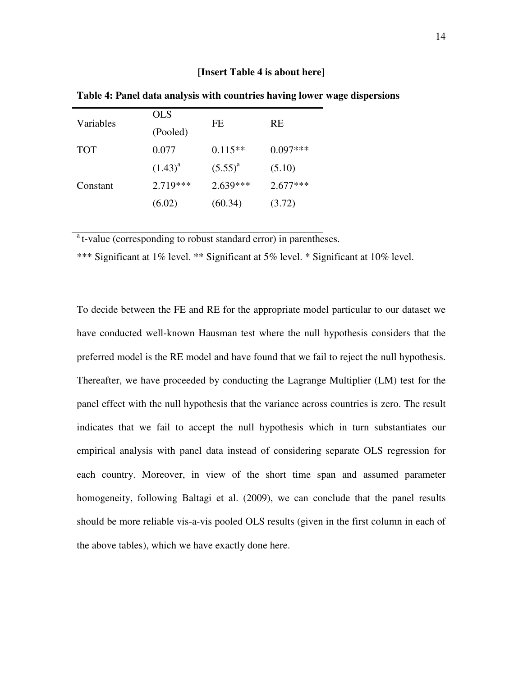#### **[Insert Table 4 is about here]**

| Variables  | <b>OLS</b>   | FE           | <b>RE</b>  |
|------------|--------------|--------------|------------|
|            | (Pooled)     |              |            |
| <b>TOT</b> | 0.077        | $0.115**$    | $0.097***$ |
|            | $(1.43)^{a}$ | $(5.55)^{a}$ | (5.10)     |
| Constant   | 2.719 ***    | $2.639***$   | $2.677***$ |
|            | (6.02)       | (60.34)      | (3.72)     |

**Table 4: Panel data analysis with countries having lower wage dispersions** 

<sup>a</sup>t-value (corresponding to robust standard error) in parentheses.

\*\*\* Significant at 1% level. \*\* Significant at 5% level. \* Significant at 10% level.

To decide between the FE and RE for the appropriate model particular to our dataset we have conducted well-known Hausman test where the null hypothesis considers that the preferred model is the RE model and have found that we fail to reject the null hypothesis. Thereafter, we have proceeded by conducting the Lagrange Multiplier (LM) test for the panel effect with the null hypothesis that the variance across countries is zero. The result indicates that we fail to accept the null hypothesis which in turn substantiates our empirical analysis with panel data instead of considering separate OLS regression for each country. Moreover, in view of the short time span and assumed parameter homogeneity, following Baltagi et al. (2009), we can conclude that the panel results should be more reliable vis-a-vis pooled OLS results (given in the first column in each of the above tables), which we have exactly done here.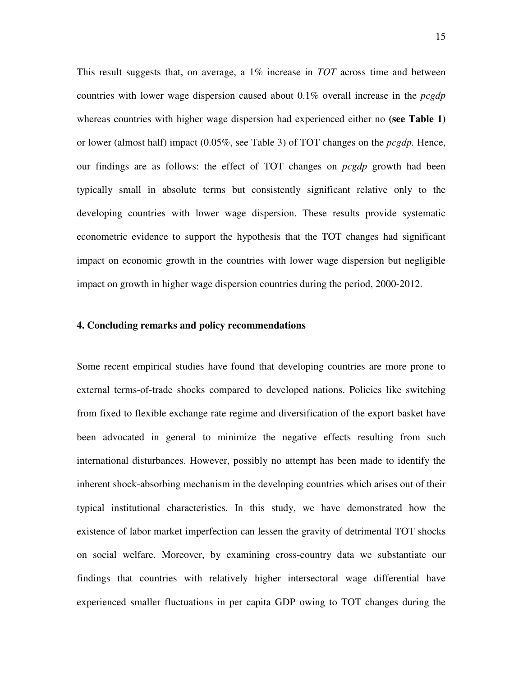This result suggests that, on average, a 1% increase in *TOT* across time and between countries with lower wage dispersion caused about 0.1% overall increase in the *pcgdp* whereas countries with higher wage dispersion had experienced either no **(see Table 1)** or lower (almost half) impact (0.05%, see Table 3) of TOT changes on the *pcgdp.* Hence, our findings are as follows: the effect of TOT changes on *pcgdp* growth had been typically small in absolute terms but consistently significant relative only to the developing countries with lower wage dispersion. These results provide systematic econometric evidence to support the hypothesis that the TOT changes had significant impact on economic growth in the countries with lower wage dispersion but negligible impact on growth in higher wage dispersion countries during the period, 2000-2012.

#### **4. Concluding remarks and policy recommendations**

Some recent empirical studies have found that developing countries are more prone to external terms-of-trade shocks compared to developed nations. Policies like switching from fixed to flexible exchange rate regime and diversification of the export basket have been advocated in general to minimize the negative effects resulting from such international disturbances. However, possibly no attempt has been made to identify the inherent shock-absorbing mechanism in the developing countries which arises out of their typical institutional characteristics. In this study, we have demonstrated how the existence of labor market imperfection can lessen the gravity of detrimental TOT shocks on social welfare. Moreover, by examining cross-country data we substantiate our findings that countries with relatively higher intersectoral wage differential have experienced smaller fluctuations in per capita GDP owing to TOT changes during the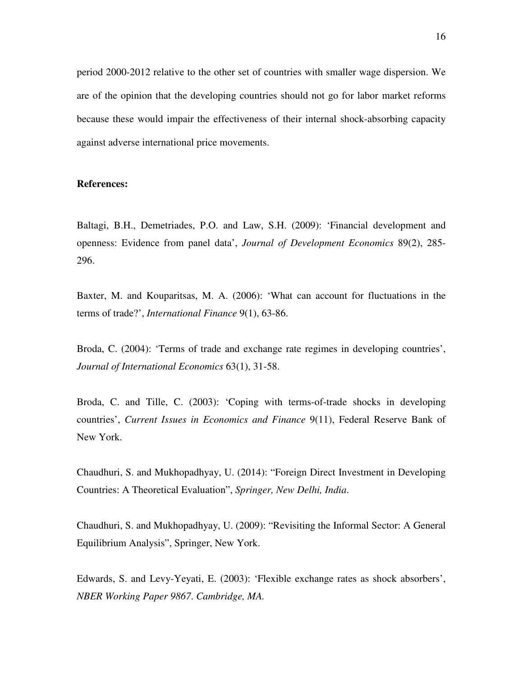period 2000-2012 relative to the other set of countries with smaller wage dispersion. We are of the opinion that the developing countries should not go for labor market reforms because these would impair the effectiveness of their internal shock-absorbing capacity against adverse international price movements.

#### **References:**

Baltagi, B.H., Demetriades, P.O. and Law, S.H. (2009): 'Financial development and openness: Evidence from panel data', *Journal of Development Economics* 89(2), 285- 296.

Baxter, M. and Kouparitsas, M. A. (2006): 'What can account for fluctuations in the terms of trade?', *International Finance* 9(1), 63-86.

Broda, C. (2004): 'Terms of trade and exchange rate regimes in developing countries', *Journal of International Economics* 63(1), 31-58.

Broda, C. and Tille, C. (2003): 'Coping with terms-of-trade shocks in developing countries', *Current Issues in Economics and Finance* 9(11), Federal Reserve Bank of New York.

Chaudhuri, S. and Mukhopadhyay, U. (2014): "Foreign Direct Investment in Developing Countries: A Theoretical Evaluation", *Springer, New Delhi, India*.

Chaudhuri, S. and Mukhopadhyay, U. (2009): "Revisiting the Informal Sector: A General Equilibrium Analysis", Springer, New York.

Edwards, S. and Levy-Yeyati, E. (2003): 'Flexible exchange rates as shock absorbers', *NBER Working Paper 9867*. *Cambridge, MA.*